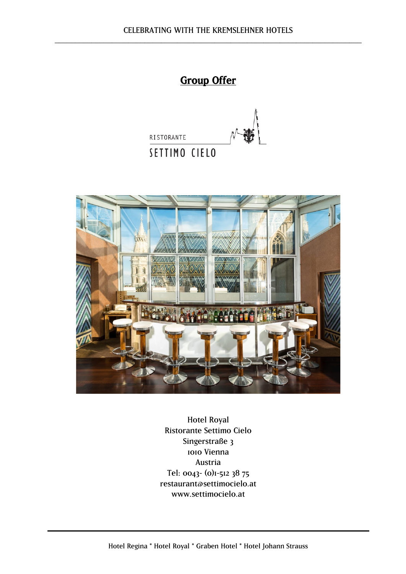# Group Offer





Hotel Royal Ristorante Settimo Cielo Singerstraße 3 1010 Vienna Austria Tel: 0043- (0)1-512 38 75 restaurant@settimocielo.at [www.settimocielo.at](http://www.settimocielo.at/)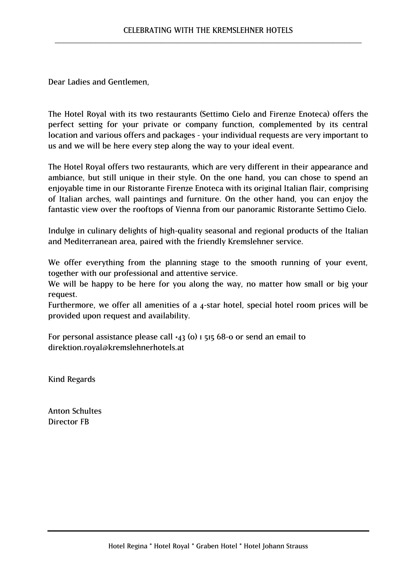Dear Ladies and Gentlemen,

The Hotel Royal with its two restaurants (Settimo Cielo and Firenze Enoteca) offers the perfect setting for your private or company function, complemented by its central location and various offers and packages - your individual requests are very important to us and we will be here every step along the way to your ideal event.

The Hotel Royal offers two restaurants, which are very different in their appearance and ambiance, but still unique in their style. On the one hand, you can chose to spend an enjoyable time in our Ristorante Firenze Enoteca with its original Italian flair, comprising of Italian arches, wall paintings and furniture. On the other hand, you can enjoy the fantastic view over the rooftops of Vienna from our panoramic Ristorante Settimo Cielo.

Indulge in culinary delights of high-quality seasonal and regional products of the Italian and Mediterranean area, paired with the friendly Kremslehner service.

We offer everything from the planning stage to the smooth running of your event, together with our professional and attentive service.

We will be happy to be here for you along the way, no matter how small or big your request.

Furthermore, we offer all amenities of a 4-star hotel, special hotel room prices will be provided upon request and availability.

For personal assistance please call  $+43$  (o) 1 515 68-0 or send an email to direktion.royal@kremslehnerhotels.at

Kind Regards

Anton Schultes Director FB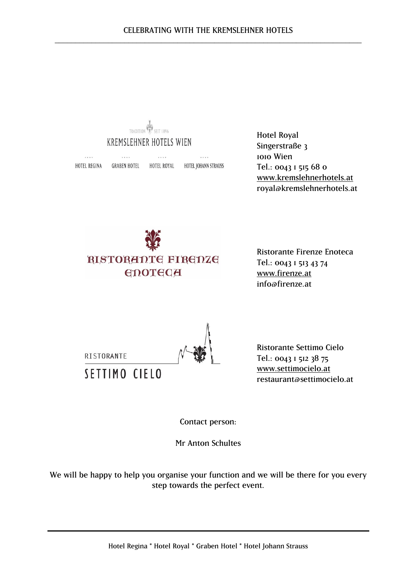

Hotel Royal Singerstraße 3 1010 Wien Tel.: 0043 1 515 68 0 [www.kremslehnerhotels.at](http://www.kremslehnerhotels.at/) royal@kremslehnerhotels.at



Ristorante Firenze Enoteca Tel.: 0043 1 513 43 74 [www.firenze.at](http://www.firenze.at/) info@firenze.at

RISTORANTE SETTIMO CIELO

Ristorante Settimo Cielo Tel.: 0043 1 512 38 75 [www.settimocielo.at](http://www.settimocielo.at/) [restaurant@settimocielo.at](mailto:restaurant@settimocielo.at)

Contact person:

Mr Anton Schultes

We will be happy to help you organise your function and we will be there for you every step towards the perfect event.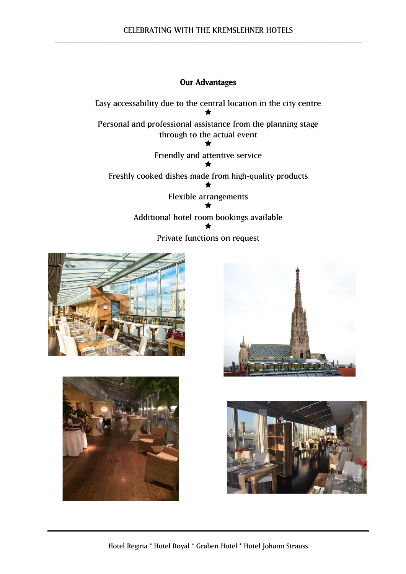# Our Advantages

Easy accessability due to the central location in the city centre  $\bigstar$ Personal and professional assistance from the planning stage through to the actual event  $\bigstar$ Friendly and attentive service  $\bigstar$ Freshly cooked dishes made from high-quality products  $\bigstar$ Flexible arrangements  $\bigstar$ Additional hotel room bookings available  $\bigstar$ Private functions on request







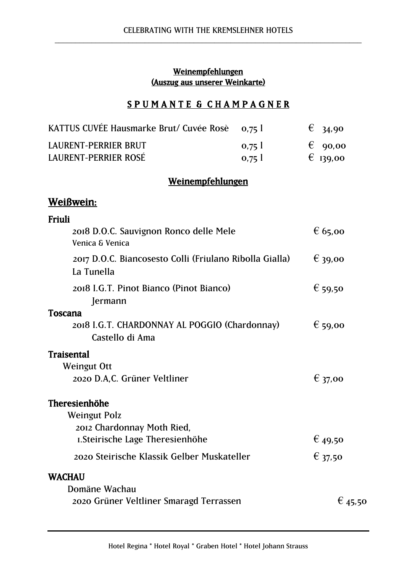# Weinempfehlungen (Auszug aus unserer Weinkarte)

# SPUMANTE & CHAMPAGNER

| KATTUS CUVÉE Hausmarke Brut/ Cuvée Rosè 0,75 l |                       | $\epsilon$ 34,90 |
|------------------------------------------------|-----------------------|------------------|
| LAURENT-PERRIER BRUT                           | $0.75$ $\overline{)}$ | $\epsilon$ 90,00 |
| LAURENT-PERRIER ROSÉ                           | 0.751                 | $E_{I39,00}$     |

# Weinempfehlungen

# Weißwein:

| Friuli                                                                |                  |
|-----------------------------------------------------------------------|------------------|
| 2018 D.O.C. Sauvignon Ronco delle Mele<br>Venica & Venica             | $\epsilon$ 65,00 |
| 2017 D.O.C. Biancosesto Colli (Friulano Ribolla Gialla)<br>La Tunella | $\epsilon$ 39,00 |
| 2018 I.G.T. Pinot Bianco (Pinot Bianco)<br>Jermann                    | $\epsilon$ 59,50 |
| Toscana                                                               |                  |
| 2018 I.G.T. CHARDONNAY AL POGGIO (Chardonnay)<br>Castello di Ama      | $\epsilon$ 59,00 |
| Traisental                                                            |                  |
| Weingut Ott                                                           |                  |
| 2020 D.A.C. Grüner Veltliner                                          | $\epsilon$ 37,00 |
| Theresienhöhe                                                         |                  |
| <b>Weingut Polz</b>                                                   |                  |
| 2012 Chardonnay Moth Ried,                                            |                  |
| I. Steirische Lage Theresienhöhe                                      | € 49,50          |
| 2020 Steirische Klassik Gelber Muskateller                            | $\epsilon$ 37,50 |
| <b>WACHAU</b>                                                         |                  |
| Domäne Wachau                                                         |                  |
| 2020 Grüner Veltliner Smaragd Terrassen                               | $\epsilon$ 45,50 |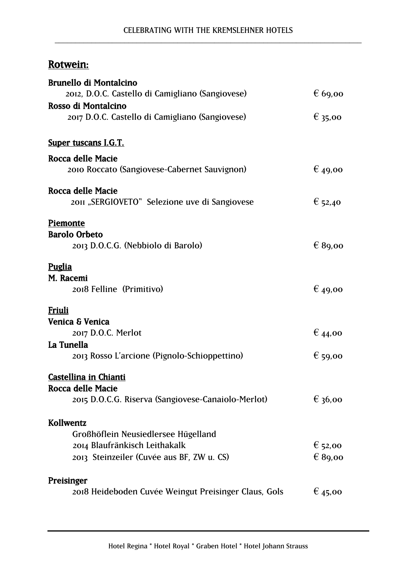# Rotwein:

| <b>Brunello di Montalcino</b>                                        |                  |
|----------------------------------------------------------------------|------------------|
| 2012, D.O.C. Castello di Camigliano (Sangiovese)                     | $\epsilon$ 69,00 |
| Rosso di Montalcino                                                  |                  |
| 2017 D.O.C. Castello di Camigliano (Sangiovese)                      | $\epsilon$ 35,00 |
|                                                                      |                  |
| <b>Super tuscans I.G.T.</b>                                          |                  |
| Rocca delle Macie                                                    |                  |
| 2010 Roccato (Sangiovese-Cabernet Sauvignon)                         | $\epsilon$ 49,00 |
| Rocca delle Macie                                                    |                  |
| 2011 "SERGIOVETO" Selezione uve di Sangiovese                        | € 52,40          |
| <b>Piemonte</b>                                                      |                  |
| <b>Barolo Orbeto</b>                                                 |                  |
| 2013 D.O.C.G. (Nebbiolo di Barolo)                                   | $\epsilon$ 89,00 |
| <b>Puglia</b>                                                        |                  |
| M. Racemi                                                            |                  |
| 2018 Felline (Primitivo)                                             | $\epsilon$ 49,00 |
| Friuli                                                               |                  |
| <b>Venica &amp; Venica</b>                                           |                  |
| 2017 D.O.C. Merlot                                                   | $\epsilon$ 44,00 |
| La Tunella                                                           |                  |
| 2013 Rosso L'arcione (Pignolo-Schioppettino)                         | $\epsilon$ 59,00 |
| Castellina in Chianti                                                |                  |
| Rocca delle Macie                                                    |                  |
| 2015 D.O.C.G. Riserva (Sangiovese-Canaiolo-Merlot)                   | $\epsilon$ 36,00 |
| Kollwentz                                                            |                  |
|                                                                      |                  |
| Großhöflein Neusiedlersee Hügelland<br>2014 Blaufränkisch Leithakalk | $\epsilon$ 52,00 |
| 2013 Steinzeiler (Cuvée aus BF, ZW u. CS)                            | $\epsilon$ 89,00 |
|                                                                      |                  |
| Preisinger                                                           |                  |
| 2018 Heideboden Cuvée Weingut Preisinger Claus, Gols                 | $\epsilon$ 45,00 |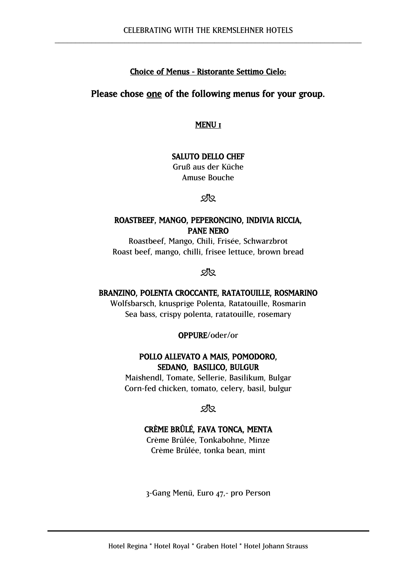## Choice of Menus - Ristorante Settimo Cielo:

## Please chose one of the following menus for your group.

MENU I

## SALUTO DELLO CHEF

Gruß aus der Küche Amuse Bouche

SR.

## ROASTBEEF, MANGO, PEPERONCINO, INDIVIA RICCIA, PANE NERO

Roastbeef, Mango, Chili, Frisée, Schwarzbrot Roast beef, mango, chilli, frisee lettuce, brown bread

ଅମ

## BRANZINO, POLENTA CROCCANTE, RATATOUILLE, ROSMARINO

Wolfsbarsch, knusprige Polenta, Ratatouille, Rosmarin Sea bass, crispy polenta, ratatouille, rosemary

#### OPPURE/oder/or

## POLLO ALLEVATO A MAIS, POMODORO, SEDANO, BASILICO, BULGUR

Maishendl, Tomate, Sellerie, Basilikum, Bulgar Corn-fed chicken, tomato, celery, basil, bulgur

**sis** 

# CRÈME BRÛLÉ, FAVA TONCA, MENTA

Crème Brûlée, Tonkabohne, Minze Crème Brûlée, tonka bean, mint

3-Gang Menü, Euro 47,- pro Person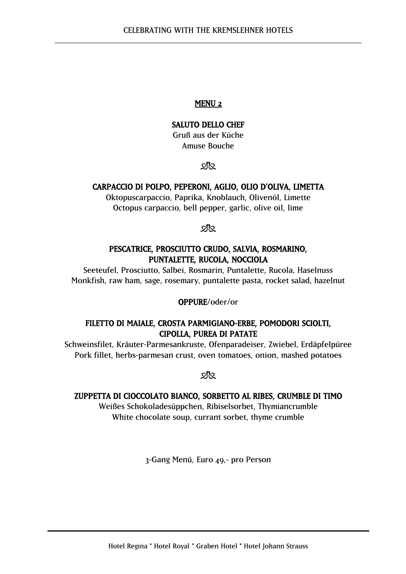## SALUTO DELLO CHEF

Gruß aus der Küche Amuse Bouche

**sis** 

#### CARPACCIO DI POLPO, PEPERONI, AGLIO, OLIO D'OLIVA, LIMETTA

Oktopuscarpaccio, Paprika, Knoblauch, Olivenöl, Limette Octopus carpaccio, bell pepper, garlic, olive oil, lime

**sis** 

## PESCATRICE, PROSCIUTTO CRUDO, SALVIA, ROSMARINO, PUNTALETTE, RUCOLA, NOCCIOLA

Seeteufel, Prosciutto, Salbei, Rosmarin, Puntalette, Rucola, Haselnuss Monkfish, raw ham, sage, rosemary, puntalette pasta, rocket salad, hazelnut

#### OPPURE/oder/or

## FILETTO DI MAIALE, CROSTA PARMIGIANO-ERBE, POMODORI SCIOLTI, CIPOLLA, PUREA DI PATATE

Schweinsfilet, Kräuter-Parmesankruste, Ofenparadeiser, Zwiebel, Erdäpfelpüree Pork fillet, herbs-parmesan crust, oven tomatoes, onion, mashed potatoes

প্ৰপ্ৰ

#### ZUPPETTA DI CIOCCOLATO BIANCO, SORBETTO AL RIBES, CRUMBLE DI TIMO

Weißes Schokoladesüppchen, Ribiselsorbet, Thymiancrumble White chocolate soup, currant sorbet, thyme crumble

3-Gang Menü, Euro 49,- pro Person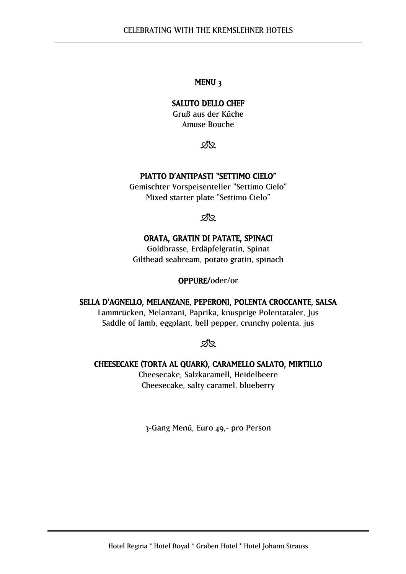## SALUTO DELLO CHEF

Gruß aus der Küche Amuse Bouche

SR.

## PIATTO D'ANTIPASTI "SETTIMO CIELO"

Gemischter Vorspeisenteller "Settimo Cielo" Mixed starter plate "Settimo Cielo"

 $2\%$ 

## ORATA, GRATIN DI PATATE, SPINACI

Goldbrasse, Erdäpfelgratin, Spinat Gilthead seabream, potato gratin, spinach

#### OPPURE/oder/or

## SELLA D'AGNELLO, MELANZANE, PEPERONI, POLENTA CROCCANTE, SALSA

Lammrücken, Melanzani, Paprika, knusprige Polentataler, Jus Saddle of lamb, eggplant, bell pepper, crunchy polenta, jus

**sis** 

#### CHEESECAKE (TORTA AL QUARK), CARAMELLO SALATO, MIRTILLO

Cheesecake, Salzkaramell, Heidelbeere Cheesecake, salty caramel, blueberry

3-Gang Menü, Euro 49,- pro Person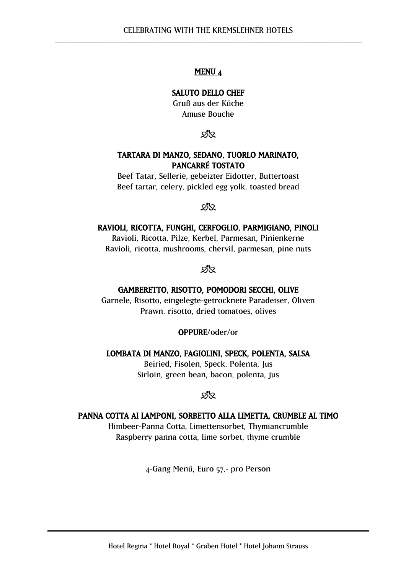#### SALUTO DELLO CHEF

Gruß aus der Küche Amuse Bouche

**sis** 

## TARTARA DI MANZO, SEDANO, TUORLO MARINATO, PANCARRÉ TOSTATO

Beef Tatar, Sellerie, gebeizter Eidotter, Buttertoast Beef tartar, celery, pickled egg yolk, toasted bread

<u>ମ∤</u>୍

#### RAVIOLI, RICOTTA, FUNGHI, CERFOGLIO, PARMIGIANO, PINOLI

Ravioli, Ricotta, Pilze, Kerbel, Parmesan, Pinienkerne Ravioli, ricotta, mushrooms, chervil, parmesan, pine nuts

মূর্

#### GAMBERETTO, RISOTTO, POMODORI SECCHI, OLIVE

Garnele, Risotto, eingelegte-getrocknete Paradeiser, Oliven Prawn, risotto, dried tomatoes, olives

#### OPPURE/oder/or

#### LOMBATA DI MANZO, FAGIOLINI, SPECK, POLENTA, SALSA

Beiried, Fisolen, Speck, Polenta, Jus Sirloin, green bean, bacon, polenta, jus

## **sis**

#### PANNA COTTA AI LAMPONI, SORBETTO ALLA LIMETTA, CRUMBLE AL TIMO

Himbeer-Panna Cotta, Limettensorbet, Thymiancrumble Raspberry panna cotta, lime sorbet, thyme crumble

4-Gang Menü, Euro 57,- pro Person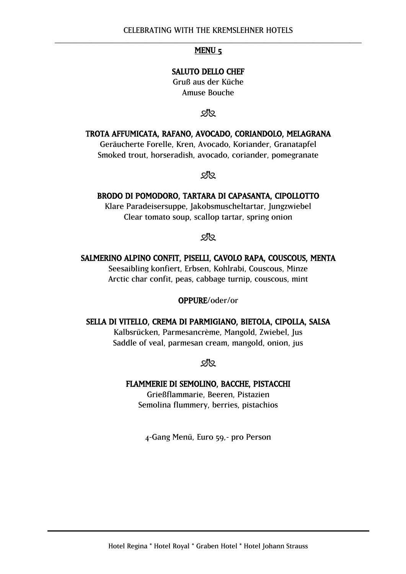## SALUTO DELLO CHEF

Gruß aus der Küche Amuse Bouche

**dis** 

TROTA AFFUMICATA, RAFANO, AVOCADO, CORIANDOLO, MELAGRANA Geräucherte Forelle, Kren, Avocado, Koriander, Granatapfel Smoked trout, horseradish, avocado, coriander, pomegranate

মূর্

#### BRODO DI POMODORO, TARTARA DI CAPASANTA, CIPOLLOTTO

Klare Paradeisersuppe, Jakobsmuscheltartar, Jungzwiebel Clear tomato soup, scallop tartar, spring onion

SK.

#### SALMERINO ALPINO CONFIT, PISELLI, CAVOLO RAPA, COUSCOUS, MENTA

Seesaibling konfiert, Erbsen, Kohlrabi, Couscous, Minze Arctic char confit, peas, cabbage turnip, couscous, mint

#### OPPURE/oder/or

#### SELLA DI VITELLO, CREMA DI PARMIGIANO, BIETOLA, CIPOLLA, SALSA

Kalbsrücken, Parmesancrème, Mangold, Zwiebel, Jus Saddle of veal, parmesan cream, mangold, onion, jus

**sik** 

#### FLAMMERIE DI SEMOLINO, BACCHE, PISTACCHI

Grießflammarie, Beeren, Pistazien Semolina flummery, berries, pistachios

4-Gang Menü, Euro 59,- pro Person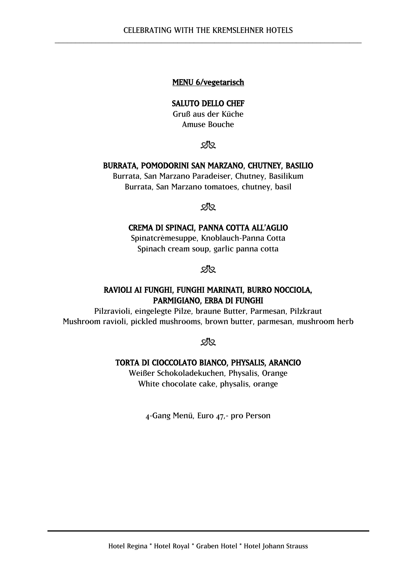## MENU 6/vegetarisch

#### SALUTO DELLO CHEF

Gruß aus der Küche Amuse Bouche

প্ৰপ্ৰ

#### BURRATA, POMODORINI SAN MARZANO, CHUTNEY, BASILIO

Burrata, San Marzano Paradeiser, Chutney, Basilikum Burrata, San Marzano tomatoes, chutney, basil

<u>ମ∤</u>

#### CREMA DI SPINACI, PANNA COTTA ALL'AGLIO

Spinatcrèmesuppe, Knoblauch-Panna Cotta Spinach cream soup, garlic panna cotta

ଅମ

# RAVIOLI AI FUNGHI, FUNGHI MARINATI, BURRO NOCCIOLA, PARMIGIANO, ERBA DI FUNGHI

Pilzravioli, eingelegte Pilze, braune Butter, Parmesan, Pilzkraut Mushroom ravioli, pickled mushrooms, brown butter, parmesan, mushroom herb

**sis** 

## TORTA DI CIOCCOLATO BIANCO, PHYSALIS, ARANCIO

Weißer Schokoladekuchen, Physalis, Orange White chocolate cake, physalis, orange

4-Gang Menü, Euro 47,- pro Person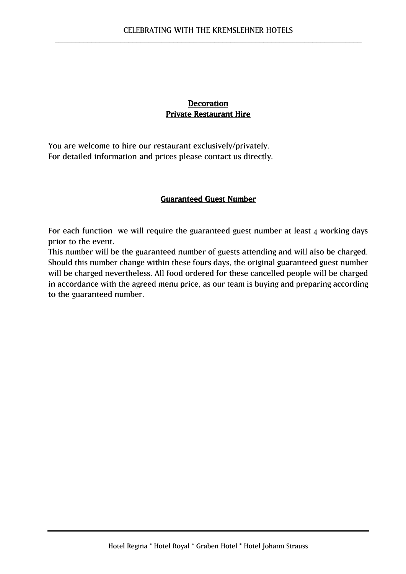# **Decoration** Private Restaurant Hire

You are welcome to hire our restaurant exclusively/privately. For detailed information and prices please contact us directly.

## Guaranteed Guest Number

For each function we will require the guaranteed guest number at least 4 working days prior to the event.

This number will be the guaranteed number of guests attending and will also be charged. Should this number change within these fours days, the original guaranteed guest number will be charged nevertheless. All food ordered for these cancelled people will be charged in accordance with the agreed menu price, as our team is buying and preparing according to the guaranteed number.